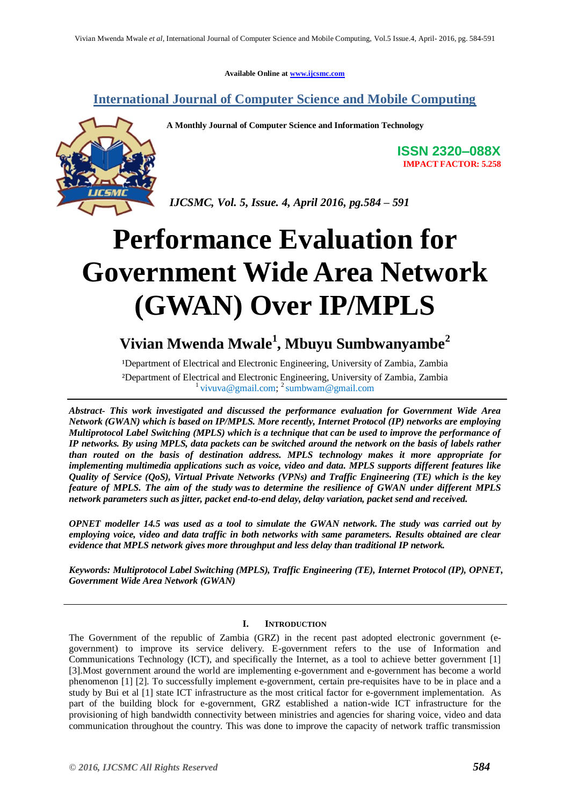**Available Online at [www.ijcsmc.com](http://www.ijcsmc.com/)**

### **International Journal of Computer Science and Mobile Computing**



**A Monthly Journal of Computer Science and Information Technology**

**ISSN 2320–088X IMPACT FACTOR: 5.258**

*IJCSMC, Vol. 5, Issue. 4, April 2016, pg.584 – 591*

# **Performance Evaluation for Government Wide Area Network (GWAN) Over IP/MPLS**

## **Vivian Mwenda Mwale<sup>1</sup> , Mbuyu Sumbwanyambe<sup>2</sup>**

<sup>1</sup>Department of Electrical and Electronic Engineering, University of Zambia, Zambia ²Department of Electrical and Electronic Engineering, University of Zambia, Zambia <sup>1</sup> vivuva@gmail.com; <sup>2</sup> sumbwam@gmail.com

*Abstract- This work investigated and discussed the performance evaluation for Government Wide Area Network (GWAN) which is based on IP/MPLS. More recently, Internet Protocol (IP) networks are employing Multiprotocol Label Switching (MPLS) which is a technique that can be used to improve the performance of IP networks. By using MPLS, data packets can be switched around the network on the basis of labels rather than routed on the basis of destination address. MPLS technology makes it more appropriate for implementing multimedia applications such as voice, video and data. MPLS supports different features like Quality of Service (QoS), Virtual Private Networks (VPNs) and Traffic Engineering (TE) which is the key feature of MPLS. The aim of the study was to determine the resilience of GWAN under different MPLS network parameters such as jitter, packet end-to-end delay, delay variation, packet send and received.*

*OPNET modeller 14.5 was used as a tool to simulate the GWAN network. The study was carried out by employing voice, video and data traffic in both networks with same parameters. Results obtained are clear evidence that MPLS network gives more throughput and less delay than traditional IP network.* 

*Keywords: Multiprotocol Label Switching (MPLS), Traffic Engineering (TE), Internet Protocol (IP), OPNET, Government Wide Area Network (GWAN)*

#### **I. INTRODUCTION**

The Government of the republic of Zambia (GRZ) in the recent past adopted electronic government (egovernment) to improve its service delivery. E-government refers to the use of Information and Communications Technology (ICT), and specifically the Internet, as a tool to achieve better government [1] [3].Most government around the world are implementing e-government and e-government has become a world phenomenon [1] [2]. To successfully implement e-government, certain pre-requisites have to be in place and a study by Bui et al [1] state ICT infrastructure as the most critical factor for e-government implementation. As part of the building block for e-government, GRZ established a nation-wide ICT infrastructure for the provisioning of high bandwidth connectivity between ministries and agencies for sharing voice, video and data communication throughout the country. This was done to improve the capacity of network traffic transmission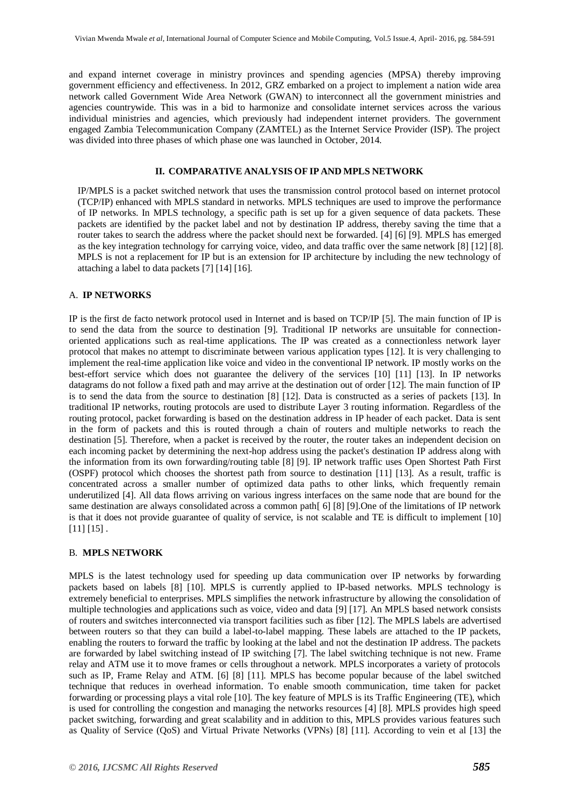and expand internet coverage in ministry provinces and spending agencies (MPSA) thereby improving government efficiency and effectiveness. In 2012, GRZ embarked on a project to implement a nation wide area network called Government Wide Area Network (GWAN) to interconnect all the government ministries and agencies countrywide. This was in a bid to harmonize and consolidate internet services across the various individual ministries and agencies, which previously had independent internet providers. The government engaged Zambia Telecommunication Company (ZAMTEL) as the Internet Service Provider (ISP). The project was divided into three phases of which phase one was launched in October, 2014.

#### **II. COMPARATIVE ANALYSIS OF IP AND MPLS NETWORK**

IP/MPLS is a packet switched network that uses the transmission control protocol based on internet protocol (TCP/IP) enhanced with MPLS standard in networks. MPLS techniques are used to improve the performance of IP networks. In MPLS technology, a specific path is set up for a given sequence of data packets. These packets are identified by the packet label and not by destination IP address, thereby saving the time that a router takes to search the address where the packet should next be forwarded. [4] [6] [9]. MPLS has emerged as the key integration technology for carrying voice, video, and data traffic over the same network [8] [12] [8]. MPLS is not a replacement for IP but is an extension for IP architecture by including the new technology of attaching a label to data packets [7] [14] [16].

#### A. **IP NETWORKS**

IP is the first de facto network protocol used in Internet and is based on TCP/IP [5]. The main function of IP is to send the data from the source to destination [9]. Traditional IP networks are unsuitable for connectionoriented applications such as real-time applications. The IP was created as a connectionless network layer protocol that makes no attempt to discriminate between various application types [12]. It is very challenging to implement the real-time application like voice and video in the conventional IP network. IP mostly works on the best-effort service which does not guarantee the delivery of the services [10] [11] [13]. In IP networks datagrams do not follow a fixed path and may arrive at the destination out of order [12]. The main function of IP is to send the data from the source to destination [8] [12]. Data is constructed as a series of packets [13]. In traditional IP networks, routing protocols are used to distribute Layer 3 routing information. Regardless of the routing protocol, packet forwarding is based on the destination address in IP header of each packet. Data is sent in the form of packets and this is routed through a chain of routers and multiple networks to reach the destination [5]. Therefore, when a packet is received by the router, the router takes an independent decision on each incoming packet by determining the next-hop address using the packet's destination IP address along with the information from its own forwarding/routing table [8] [9]. IP network traffic uses Open Shortest Path First (OSPF) protocol which chooses the shortest path from source to destination [11] [13]. As a result, traffic is concentrated across a smaller number of optimized data paths to other links, which frequently remain underutilized [4]. All data flows arriving on various ingress interfaces on the same node that are bound for the same destination are always consolidated across a common path [6] [8] [9]. One of the limitations of IP network is that it does not provide guarantee of quality of service, is not scalable and TE is difficult to implement [10] [11] [15] .

#### B. **MPLS NETWORK**

MPLS is the latest technology used for speeding up data communication over IP networks by forwarding packets based on labels [8] [10]. MPLS is currently applied to IP-based networks. MPLS technology is extremely beneficial to enterprises. MPLS simplifies the network infrastructure by allowing the consolidation of multiple technologies and applications such as voice, video and data [9] [17]. An MPLS based network consists of routers and switches interconnected via transport facilities such as fiber [12]. The MPLS labels are advertised between routers so that they can build a label-to-label mapping. These labels are attached to the IP packets, enabling the routers to forward the traffic by looking at the label and not the destination IP address. The packets are forwarded by label switching instead of IP switching [7]. The label switching technique is not new. Frame relay and ATM use it to move frames or cells throughout a network. MPLS incorporates a variety of protocols such as IP, Frame Relay and ATM. [6] [8] [11]. MPLS has become popular because of the label switched technique that reduces in overhead information. To enable smooth communication, time taken for packet forwarding or processing plays a vital role [10]. The key feature of MPLS is its Traffic Engineering (TE), which is used for controlling the congestion and managing the networks resources [4] [8]. MPLS provides high speed packet switching, forwarding and great scalability and in addition to this, MPLS provides various features such as Quality of Service (QoS) and Virtual Private Networks (VPNs) [8] [11]. According to vein et al [13] the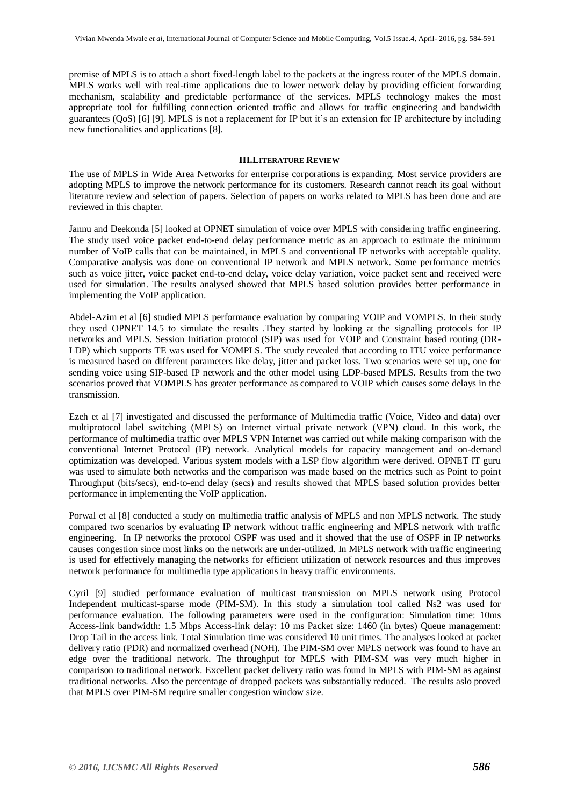premise of MPLS is to attach a short fixed-length label to the packets at the ingress router of the MPLS domain. MPLS works well with real-time applications due to lower network delay by providing efficient forwarding mechanism, scalability and predictable performance of the services. MPLS technology makes the most appropriate tool for fulfilling connection oriented traffic and allows for traffic engineering and bandwidth guarantees (QoS) [6] [9]. MPLS is not a replacement for IP but it's an extension for IP architecture by including new functionalities and applications [8].

#### **III.LITERATURE REVIEW**

The use of MPLS in Wide Area Networks for enterprise corporations is expanding. Most service providers are adopting MPLS to improve the network performance for its customers. Research cannot reach its goal without literature review and selection of papers. Selection of papers on works related to MPLS has been done and are reviewed in this chapter.

Jannu and Deekonda [5] looked at OPNET simulation of voice over MPLS with considering traffic engineering. The study used voice packet end-to-end delay performance metric as an approach to estimate the minimum number of VoIP calls that can be maintained, in MPLS and conventional IP networks with acceptable quality. Comparative analysis was done on conventional IP network and MPLS network. Some performance metrics such as voice jitter, voice packet end-to-end delay, voice delay variation, voice packet sent and received were used for simulation. The results analysed showed that MPLS based solution provides better performance in implementing the VoIP application.

Abdel-Azim et al [6] studied MPLS performance evaluation by comparing VOIP and VOMPLS. In their study they used OPNET 14.5 to simulate the results .They started by looking at the signalling protocols for IP networks and MPLS. Session Initiation protocol (SIP) was used for VOIP and Constraint based routing (DR-LDP) which supports TE was used for VOMPLS. The study revealed that according to ITU voice performance is measured based on different parameters like delay, jitter and packet loss. Two scenarios were set up, one for sending voice using SIP-based IP network and the other model using LDP-based MPLS. Results from the two scenarios proved that VOMPLS has greater performance as compared to VOIP which causes some delays in the transmission.

Ezeh et al [7] investigated and discussed the performance of Multimedia traffic (Voice, Video and data) over multiprotocol label switching (MPLS) on Internet virtual private network (VPN) cloud. In this work, the performance of multimedia traffic over MPLS VPN Internet was carried out while making comparison with the conventional Internet Protocol (IP) network. Analytical models for capacity management and on-demand optimization was developed. Various system models with a LSP flow algorithm were derived. OPNET IT guru was used to simulate both networks and the comparison was made based on the metrics such as Point to point Throughput (bits/secs), end-to-end delay (secs) and results showed that MPLS based solution provides better performance in implementing the VoIP application.

Porwal et al [8] conducted a study on multimedia traffic analysis of MPLS and non MPLS network. The study compared two scenarios by evaluating IP network without traffic engineering and MPLS network with traffic engineering. In IP networks the protocol OSPF was used and it showed that the use of OSPF in IP networks causes congestion since most links on the network are under-utilized. In MPLS network with traffic engineering is used for effectively managing the networks for efficient utilization of network resources and thus improves network performance for multimedia type applications in heavy traffic environments.

Cyril [9] studied performance evaluation of multicast transmission on MPLS network using Protocol Independent multicast-sparse mode (PIM-SM). In this study a simulation tool called Ns2 was used for performance evaluation. The following parameters were used in the configuration: Simulation time: 10ms Access-link bandwidth: 1.5 Mbps Access-link delay: 10 ms Packet size: 1460 (in bytes) Queue management: Drop Tail in the access link. Total Simulation time was considered 10 unit times. The analyses looked at packet delivery ratio (PDR) and normalized overhead (NOH). The PIM-SM over MPLS network was found to have an edge over the traditional network. The throughput for MPLS with PIM-SM was very much higher in comparison to traditional network. Excellent packet delivery ratio was found in MPLS with PIM-SM as against traditional networks. Also the percentage of dropped packets was substantially reduced. The results aslo proved that MPLS over PIM-SM require smaller congestion window size.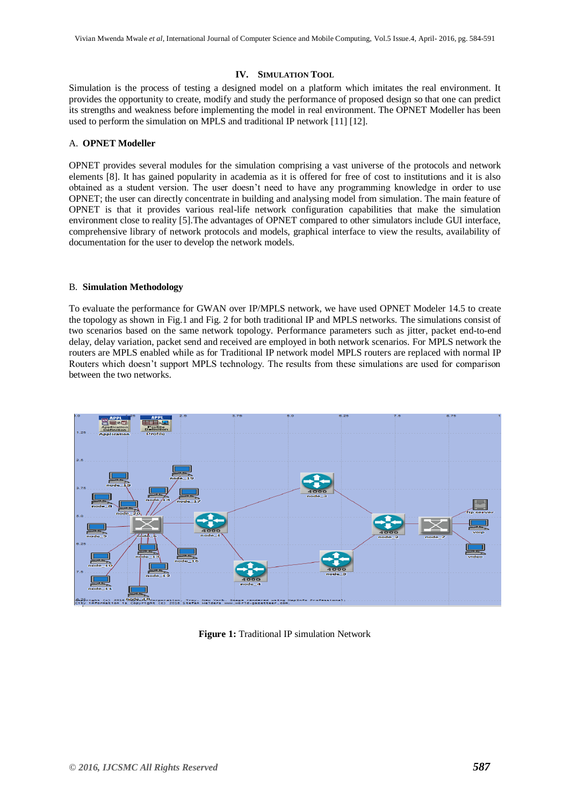#### **IV. SIMULATION TOOL**

Simulation is the process of testing a designed model on a platform which imitates the real environment. It provides the opportunity to create, modify and study the performance of proposed design so that one can predict its strengths and weakness before implementing the model in real environment. The OPNET Modeller has been used to perform the simulation on MPLS and traditional IP network [11] [12].

#### A. **OPNET Modeller**

OPNET provides several modules for the simulation comprising a vast universe of the protocols and network elements [8]. It has gained popularity in academia as it is offered for free of cost to institutions and it is also obtained as a student version. The user doesn't need to have any programming knowledge in order to use OPNET; the user can directly concentrate in building and analysing model from simulation. The main feature of OPNET is that it provides various real-life network configuration capabilities that make the simulation environment close to reality [5].The advantages of OPNET compared to other simulators include GUI interface, comprehensive library of network protocols and models, graphical interface to view the results, availability of documentation for the user to develop the network models.

#### B. **Simulation Methodology**

To evaluate the performance for GWAN over IP/MPLS network, we have used OPNET Modeler 14.5 to create the topology as shown in Fig.1 and Fig. 2 for both traditional IP and MPLS networks. The simulations consist of two scenarios based on the same network topology. Performance parameters such as jitter, packet end-to-end delay, delay variation, packet send and received are employed in both network scenarios. For MPLS network the routers are MPLS enabled while as for Traditional IP network model MPLS routers are replaced with normal IP Routers which doesn't support MPLS technology. The results from these simulations are used for comparison between the two networks.



**Figure 1:** Traditional IP simulation Network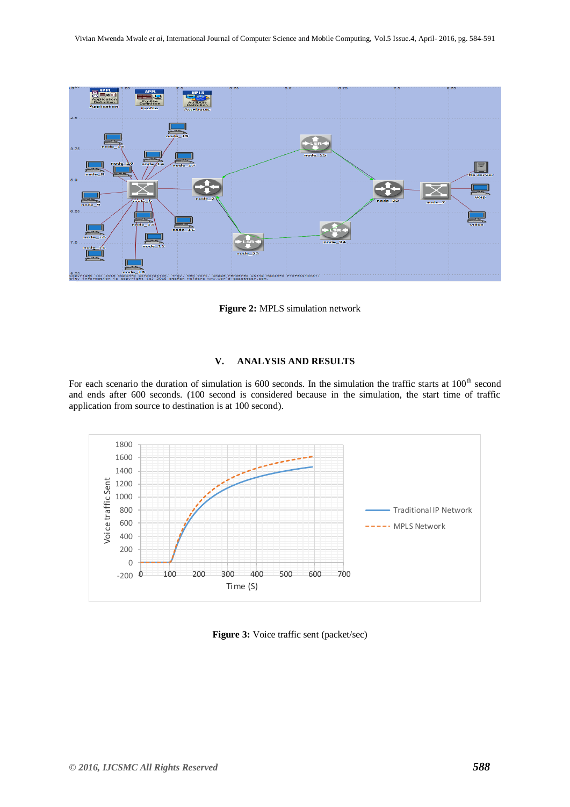

**Figure 2:** MPLS simulation network

#### **V. ANALYSIS AND RESULTS**

For each scenario the duration of simulation is 600 seconds. In the simulation the traffic starts at  $100<sup>th</sup>$  second and ends after 600 seconds. (100 second is considered because in the simulation, the start time of traffic application from source to destination is at 100 second).



**Figure 3:** Voice traffic sent (packet/sec)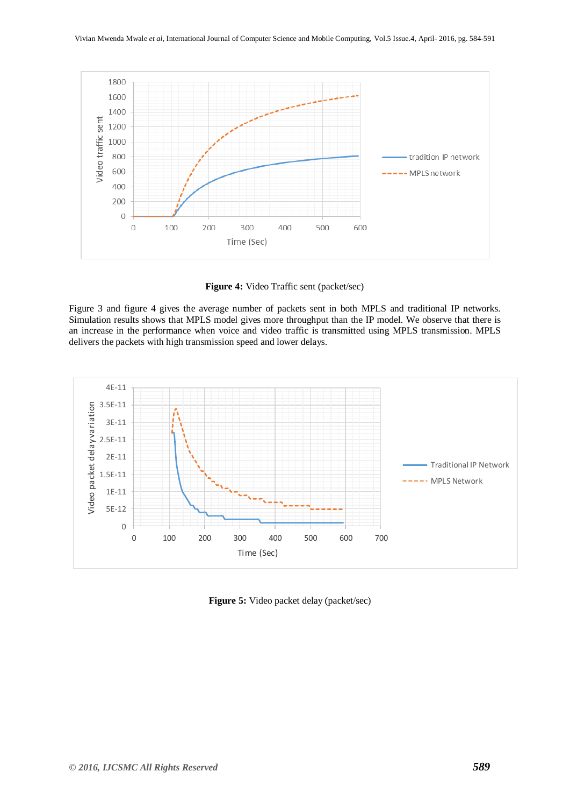

**Figure 4:** Video Traffic sent (packet/sec)

Figure 3 and figure 4 gives the average number of packets sent in both MPLS and traditional IP networks. Simulation results shows that MPLS model gives more throughput than the IP model. We observe that there is an increase in the performance when voice and video traffic is transmitted using MPLS transmission. MPLS delivers the packets with high transmission speed and lower delays.



**Figure 5:** Video packet delay (packet/sec)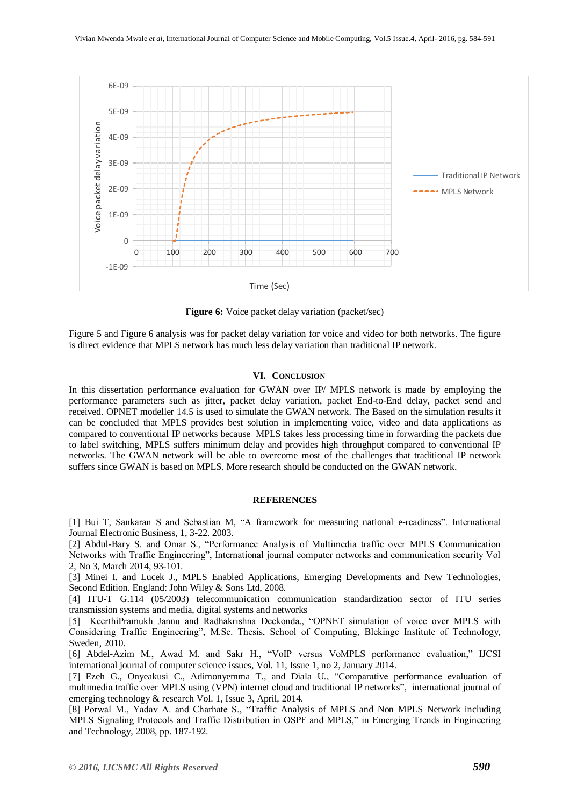

**Figure 6:** Voice packet delay variation (packet/sec)

Figure 5 and Figure 6 analysis was for packet delay variation for voice and video for both networks. The figure is direct evidence that MPLS network has much less delay variation than traditional IP network.

#### **VI. CONCLUSION**

In this dissertation performance evaluation for GWAN over IP/ MPLS network is made by employing the performance parameters such as jitter, packet delay variation, packet End-to-End delay, packet send and received. OPNET modeller 14.5 is used to simulate the GWAN network. The Based on the simulation results it can be concluded that MPLS provides best solution in implementing voice, video and data applications as compared to conventional IP networks because MPLS takes less processing time in forwarding the packets due to label switching, MPLS suffers minimum delay and provides high throughput compared to conventional IP networks. The GWAN network will be able to overcome most of the challenges that traditional IP network suffers since GWAN is based on MPLS. More research should be conducted on the GWAN network.

#### **REFERENCES**

[1] Bui T, Sankaran S and Sebastian M, "A framework for measuring national e-readiness". International Journal Electronic Business, 1, 3-22. 2003.

[2] Abdul-Bary S. and Omar S., "Performance Analysis of Multimedia traffic over MPLS Communication Networks with Traffic Engineering", International journal computer networks and communication security Vol 2, No 3, March 2014, 93-101.

[3] Minei I. and Lucek J., MPLS Enabled Applications, Emerging Developments and New Technologies, Second Edition. England: John Wiley & Sons Ltd, 2008.

[4] ITU-T G.114 (05/2003) telecommunication communication standardization sector of ITU series transmission systems and media, digital systems and networks

[5] KeerthiPramukh Jannu and Radhakrishna Deekonda., "OPNET simulation of voice over MPLS with Considering Traffic Engineering", M.Sc. Thesis, School of Computing, Blekinge Institute of Technology, Sweden, 2010.

[6] Abdel-Azim M., Awad M. and Sakr H., "VoIP versus VoMPLS performance evaluation," IJCSI international journal of computer science issues, Vol. 11, Issue 1, no 2, January 2014.

[7] Ezeh G., Onyeakusi C., Adimonyemma T., and Diala U., "Comparative performance evaluation of multimedia traffic over MPLS using (VPN) internet cloud and traditional IP networks", international journal of emerging technology & research Vol. 1, Issue 3, April, 2014.

[8] Porwal M., Yadav A. and Charhate S., "Traffic Analysis of MPLS and Non MPLS Network including MPLS Signaling Protocols and Traffic Distribution in OSPF and MPLS," in Emerging Trends in Engineering and Technology, 2008, pp. 187-192.